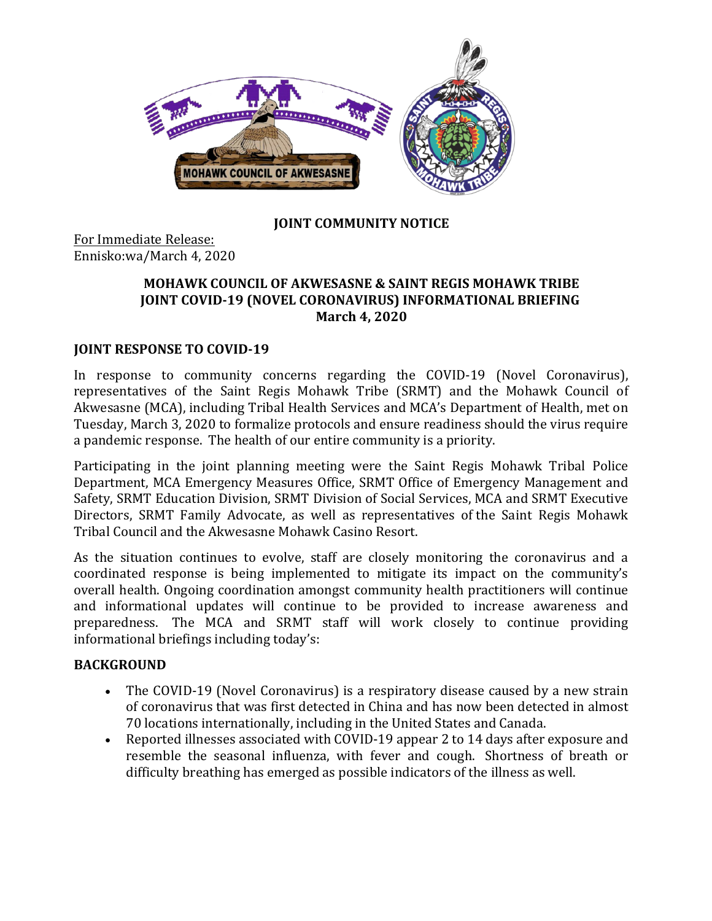

### **JOINT COMMUNITY NOTICE**

For Immediate Release: Ennisko:wa/March 4, 2020

#### **MOHAWK COUNCIL OF AKWESASNE & SAINT REGIS MOHAWK TRIBE JOINT COVID-19 (NOVEL CORONAVIRUS) INFORMATIONAL BRIEFING March 4, 2020**

### **JOINT RESPONSE TO COVID-19**

In response to community concerns regarding the COVID-19 (Novel Coronavirus), representatives of the Saint Regis Mohawk Tribe (SRMT) and the Mohawk Council of Akwesasne (MCA), including Tribal Health Services and MCA's Department of Health, met on Tuesday, March 3, 2020 to formalize protocols and ensure readiness should the virus require a pandemic response. The health of our entire community is a priority.

Participating in the joint planning meeting were the Saint Regis Mohawk Tribal Police Department, MCA Emergency Measures Office, SRMT Office of Emergency Management and Safety, SRMT Education Division, SRMT Division of Social Services, MCA and SRMT Executive Directors, SRMT Family Advocate, as well as representatives of the Saint Regis Mohawk Tribal Council and the Akwesasne Mohawk Casino Resort.

As the situation continues to evolve, staff are closely monitoring the coronavirus and a coordinated response is being implemented to mitigate its impact on the community's overall health. Ongoing coordination amongst community health practitioners will continue and informational updates will continue to be provided to increase awareness and preparedness. The MCA and SRMT staff will work closely to continue providing informational briefings including today's:

#### **BACKGROUND**

- The COVID-19 (Novel Coronavirus) is a respiratory disease caused by a new strain of coronavirus that was first detected in China and has now been detected in almost 70 locations internationally, including in the United States and Canada.
- Reported illnesses associated with COVID-19 appear 2 to 14 days after exposure and resemble the seasonal influenza, with fever and cough. Shortness of breath or difficulty breathing has emerged as possible indicators of the illness as well.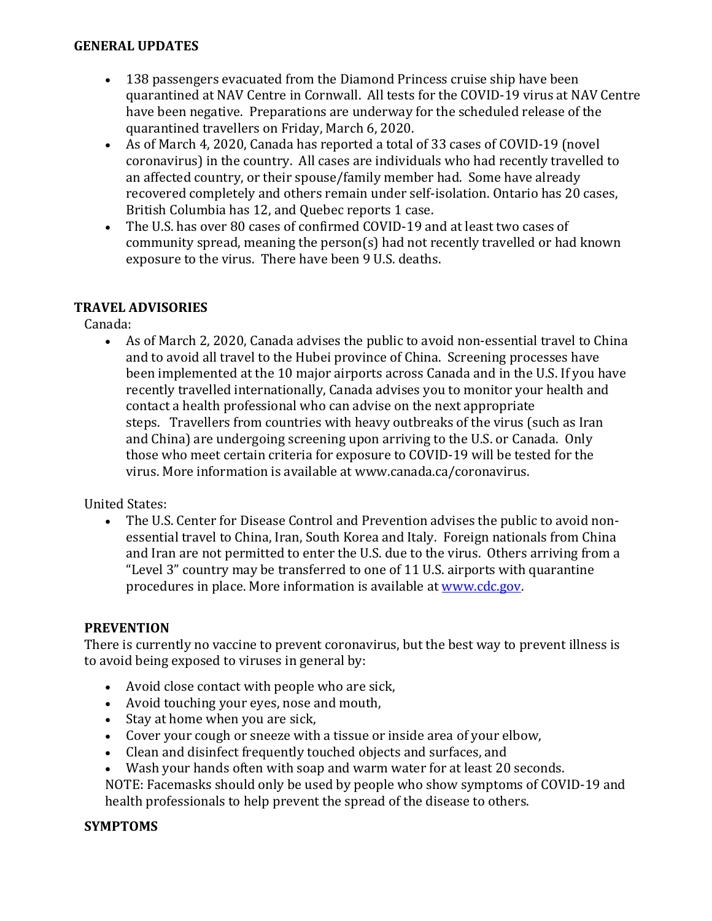#### **GENERAL UPDATES**

- 138 passengers evacuated from the Diamond Princess cruise ship have been quarantined at NAV Centre in Cornwall. All tests for the COVID-19 virus at NAV Centre have been negative. Preparations are underway for the scheduled release of the quarantined travellers on Friday, March 6, 2020.
- As of March 4, 2020, Canada has reported a total of 33 cases of COVID-19 (novel coronavirus) in the country. All cases are individuals who had recently travelled to an affected country, or their spouse/family member had. Some have already recovered completely and others remain under self-isolation. Ontario has 20 cases, British Columbia has 12, and Quebec reports 1 case.
- The U.S. has over 80 cases of confirmed COVID-19 and at least two cases of community spread, meaning the person(s) had not recently travelled or had known exposure to the virus. There have been 9 U.S. deaths.

### **TRAVEL ADVISORIES**

Canada:

• As of March 2, 2020, Canada advises the public to avoid non-essential travel to China and to avoid all travel to the Hubei province of China. Screening processes have been implemented at the 10 major airports across Canada and in the U.S. If you have recently travelled internationally, Canada advises you to monitor your health and contact a health professional who can advise on the next appropriate steps. Travellers from countries with heavy outbreaks of the virus (such as Iran and China) are undergoing screening upon arriving to the U.S. or Canada. Only those who meet certain criteria for exposure to COVID-19 will be tested for the virus. More information is available at www.canada.ca/coronavirus.

United States:

• The U.S. Center for Disease Control and Prevention advises the public to avoid nonessential travel to China, Iran, South Korea and Italy. Foreign nationals from China and Iran are not permitted to enter the U.S. due to the virus. Others arriving from a "Level 3" country may be transferred to one of 11 U.S. airports with quarantine procedures in place. More information is available at www.cdc.gov.

### **PREVENTION**

There is currently no vaccine to prevent coronavirus, but the best way to prevent illness is to avoid being exposed to viruses in general by:

- Avoid close contact with people who are sick,
- Avoid touching your eyes, nose and mouth,
- Stay at home when you are sick,
- Cover your cough or sneeze with a tissue or inside area of your elbow,
- Clean and disinfect frequently touched objects and surfaces, and
- Wash your hands often with soap and warm water for at least 20 seconds.

NOTE: Facemasks should only be used by people who show symptoms of COVID-19 and health professionals to help prevent the spread of the disease to others.

### **SYMPTOMS**